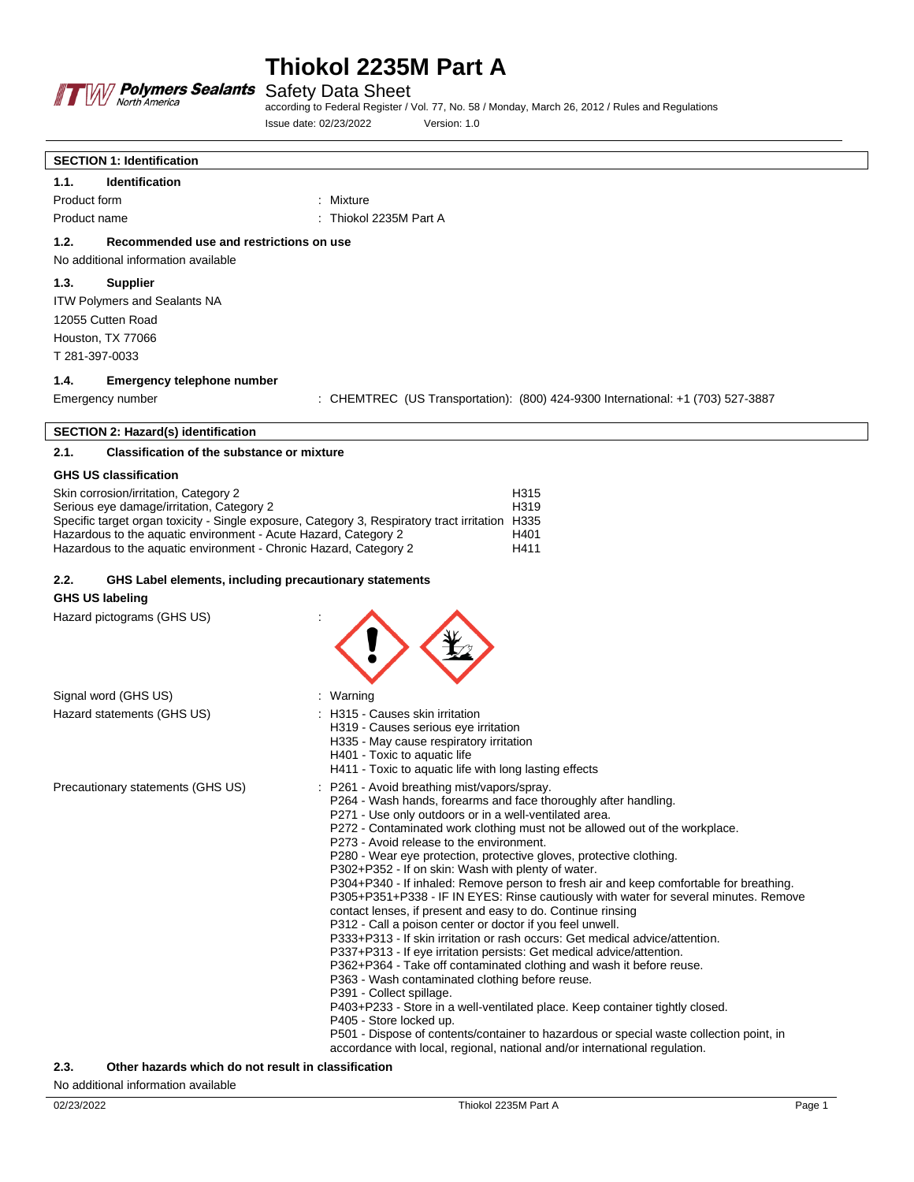

**SECTION 1: Identification**

# **Thiokol 2235M Part A**

Safety Data Sheet

according to Federal Register / Vol. 77, No. 58 / Monday, March 26, 2012 / Rules and Regulations Issue date: 02/23/2022 Version: 1.0

| <b>Identification</b><br>1.1.                                     |                                                                                                                                                                                |
|-------------------------------------------------------------------|--------------------------------------------------------------------------------------------------------------------------------------------------------------------------------|
| Product form                                                      | : Mixture                                                                                                                                                                      |
| Product name                                                      | Thiokol 2235M Part A                                                                                                                                                           |
| 1.2.<br>Recommended use and restrictions on use                   |                                                                                                                                                                                |
| No additional information available                               |                                                                                                                                                                                |
| 1.3.<br><b>Supplier</b>                                           |                                                                                                                                                                                |
| ITW Polymers and Sealants NA                                      |                                                                                                                                                                                |
| 12055 Cutten Road                                                 |                                                                                                                                                                                |
| Houston, TX 77066                                                 |                                                                                                                                                                                |
| T 281-397-0033                                                    |                                                                                                                                                                                |
| 1.4.<br><b>Emergency telephone number</b>                         |                                                                                                                                                                                |
| Emergency number                                                  | : CHEMTREC (US Transportation): (800) 424-9300 International: +1 (703) 527-3887                                                                                                |
| <b>SECTION 2: Hazard(s) identification</b>                        |                                                                                                                                                                                |
| 2.1.<br><b>Classification of the substance or mixture</b>         |                                                                                                                                                                                |
| <b>GHS US classification</b>                                      |                                                                                                                                                                                |
| Skin corrosion/irritation, Category 2                             | H315                                                                                                                                                                           |
| Serious eye damage/irritation, Category 2                         | H319<br>Specific target organ toxicity - Single exposure, Category 3, Respiratory tract irritation H335                                                                        |
| Hazardous to the aquatic environment - Acute Hazard, Category 2   | H401                                                                                                                                                                           |
| Hazardous to the aquatic environment - Chronic Hazard, Category 2 | H411                                                                                                                                                                           |
| 2.2.<br>GHS Label elements, including precautionary statements    |                                                                                                                                                                                |
| <b>GHS US labeling</b>                                            |                                                                                                                                                                                |
| Hazard pictograms (GHS US)                                        |                                                                                                                                                                                |
|                                                                   |                                                                                                                                                                                |
|                                                                   |                                                                                                                                                                                |
|                                                                   |                                                                                                                                                                                |
| Signal word (GHS US)                                              | : Warning                                                                                                                                                                      |
| Hazard statements (GHS US)                                        | : H315 - Causes skin irritation                                                                                                                                                |
|                                                                   | H319 - Causes serious eye irritation<br>H335 - May cause respiratory irritation                                                                                                |
|                                                                   | H401 - Toxic to aquatic life                                                                                                                                                   |
|                                                                   | H411 - Toxic to aquatic life with long lasting effects                                                                                                                         |
| Precautionary statements (GHS US)                                 | : P261 - Avoid breathing mist/vapors/spray.<br>P264 - Wash hands, forearms and face thoroughly after handling.                                                                 |
|                                                                   | P271 - Use only outdoors or in a well-ventilated area.                                                                                                                         |
|                                                                   | P272 - Contaminated work clothing must not be allowed out of the workplace.<br>P273 - Avoid release to the environment.                                                        |
|                                                                   | P280 - Wear eye protection, protective gloves, protective clothing.                                                                                                            |
|                                                                   | P302+P352 - If on skin: Wash with plenty of water.                                                                                                                             |
|                                                                   | P304+P340 - If inhaled: Remove person to fresh air and keep comfortable for breathing.<br>P305+P351+P338 - IF IN EYES: Rinse cautiously with water for several minutes. Remove |
|                                                                   | contact lenses, if present and easy to do. Continue rinsing                                                                                                                    |
|                                                                   | P312 - Call a poison center or doctor if you feel unwell.<br>P333+P313 - If skin irritation or rash occurs: Get medical advice/attention.                                      |
|                                                                   | P337+P313 - If eye irritation persists: Get medical advice/attention.                                                                                                          |
|                                                                   | P362+P364 - Take off contaminated clothing and wash it before reuse.                                                                                                           |
|                                                                   | P363 - Wash contaminated clothing before reuse.<br>P391 - Collect spillage.                                                                                                    |
|                                                                   | P403+P233 - Store in a well-ventilated place. Keep container tightly closed.                                                                                                   |
|                                                                   | P405 - Store locked up.<br>P501 - Dispose of contents/container to hazardous or special waste collection point, in                                                             |
|                                                                   | accordance with local, regional, national and/or international regulation.                                                                                                     |

### **2.3. Other hazards which do not result in classification**

No additional information available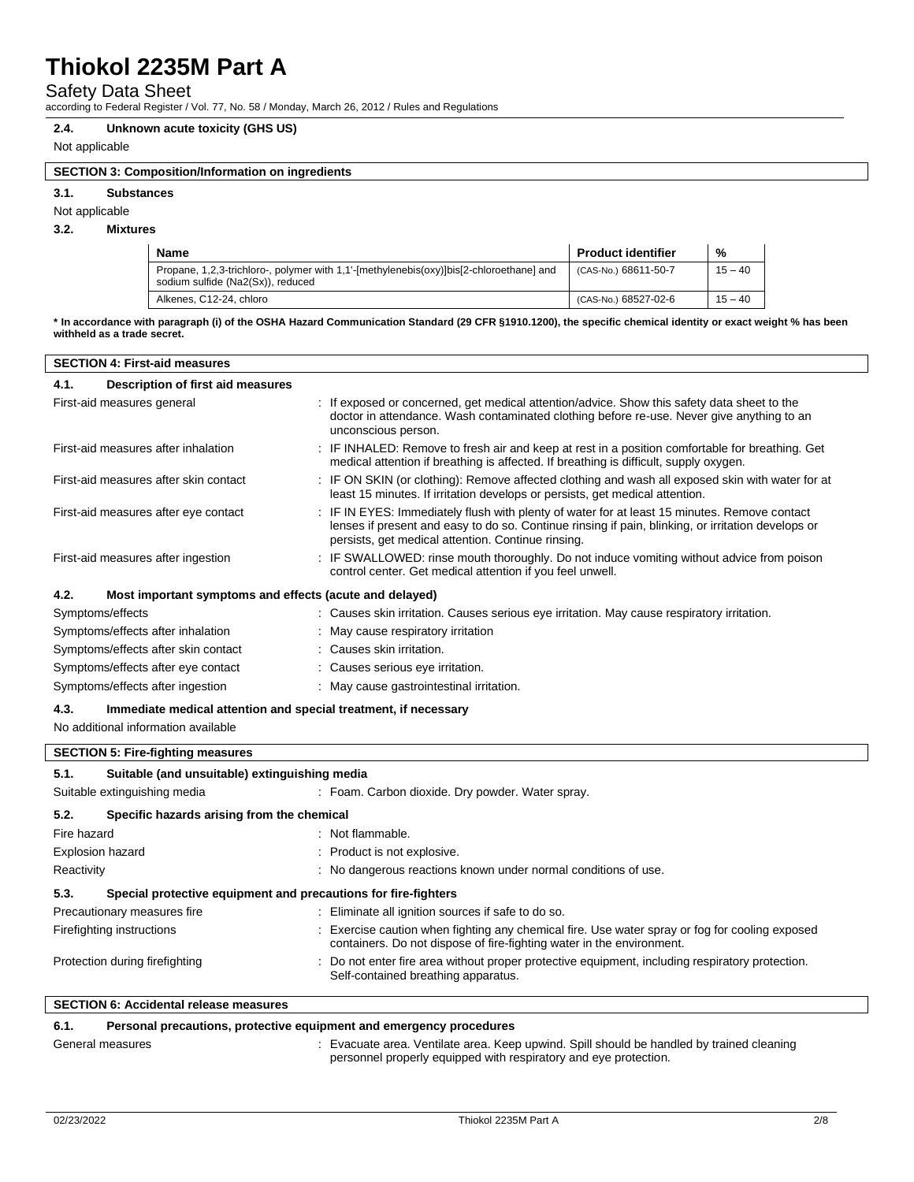## Safety Data Sheet

according to Federal Register / Vol. 77, No. 58 / Monday, March 26, 2012 / Rules and Regulations

#### **2.4. Unknown acute toxicity (GHS US)**

### Not applicable

## **SECTION 3: Composition/Information on ingredients**

**3.1. Substances**

#### Not applicable

### **3.2. Mixtures**

| <b>Name</b>                                                                                                                 | <b>Product identifier</b> | %         |
|-----------------------------------------------------------------------------------------------------------------------------|---------------------------|-----------|
| Propane, 1,2,3-trichloro-, polymer with 1,1-[methylenebis(oxy)]bis[2-chloroethane] and<br>sodium sulfide (Na2(Sx)), reduced | (CAS-No.) 68611-50-7      | $15 - 40$ |
| Alkenes, C12-24, chloro                                                                                                     | (CAS-No.) 68527-02-6      | $15 - 40$ |

**\* In accordance with paragraph (i) of the OSHA Hazard Communication Standard (29 CFR §1910.1200), the specific chemical identity or exact weight % has been withheld as a trade secret.**

| <b>SECTION 4: First-aid measures</b>                                             |                                                                                                                                                                                                                                                          |  |
|----------------------------------------------------------------------------------|----------------------------------------------------------------------------------------------------------------------------------------------------------------------------------------------------------------------------------------------------------|--|
| Description of first aid measures<br>4.1.                                        |                                                                                                                                                                                                                                                          |  |
| First-aid measures general                                                       | : If exposed or concerned, get medical attention/advice. Show this safety data sheet to the<br>doctor in attendance. Wash contaminated clothing before re-use. Never give anything to an<br>unconscious person.                                          |  |
| First-aid measures after inhalation                                              | : IF INHALED: Remove to fresh air and keep at rest in a position comfortable for breathing. Get<br>medical attention if breathing is affected. If breathing is difficult, supply oxygen.                                                                 |  |
| First-aid measures after skin contact                                            | : IF ON SKIN (or clothing): Remove affected clothing and wash all exposed skin with water for at<br>least 15 minutes. If irritation develops or persists, get medical attention.                                                                         |  |
| First-aid measures after eye contact                                             | : IF IN EYES: Immediately flush with plenty of water for at least 15 minutes. Remove contact<br>lenses if present and easy to do so. Continue rinsing if pain, blinking, or irritation develops or<br>persists, get medical attention. Continue rinsing. |  |
| First-aid measures after ingestion                                               | : IF SWALLOWED: rinse mouth thoroughly. Do not induce vomiting without advice from poison<br>control center. Get medical attention if you feel unwell.                                                                                                   |  |
| 4.2.<br>Most important symptoms and effects (acute and delayed)                  |                                                                                                                                                                                                                                                          |  |
| Symptoms/effects                                                                 | : Causes skin irritation. Causes serious eye irritation. May cause respiratory irritation.                                                                                                                                                               |  |
| Symptoms/effects after inhalation                                                | : May cause respiratory irritation                                                                                                                                                                                                                       |  |
| Symptoms/effects after skin contact                                              | : Causes skin irritation.                                                                                                                                                                                                                                |  |
| Symptoms/effects after eye contact                                               | : Causes serious eye irritation.                                                                                                                                                                                                                         |  |
| Symptoms/effects after ingestion                                                 | : May cause gastrointestinal irritation.                                                                                                                                                                                                                 |  |
| $\overline{A}$<br>Immodiate medical attention and enecial treatment if necessary |                                                                                                                                                                                                                                                          |  |

## **4.3. Immediate medical attention and special treatment, if necessary**

No additional information available

|             | <b>SECTION 5: Fire-fighting measures</b>      |                                                                                                                                                                       |
|-------------|-----------------------------------------------|-----------------------------------------------------------------------------------------------------------------------------------------------------------------------|
| 5.1.        | Suitable (and unsuitable) extinguishing media |                                                                                                                                                                       |
|             | Suitable extinguishing media                  | : Foam. Carbon dioxide. Dry powder. Water spray.                                                                                                                      |
| 5.2.        | Specific hazards arising from the chemical    |                                                                                                                                                                       |
| Fire hazard |                                               | : Not flammable.                                                                                                                                                      |
|             | Explosion hazard                              | : Product is not explosive.                                                                                                                                           |
| Reactivity  |                                               | : No dangerous reactions known under normal conditions of use.                                                                                                        |
| 5.3.        |                                               | Special protective equipment and precautions for fire-fighters                                                                                                        |
|             | Precautionary measures fire                   | : Eliminate all ignition sources if safe to do so.                                                                                                                    |
|             | Firefighting instructions                     | Exercise caution when fighting any chemical fire. Use water spray or fog for cooling exposed<br>containers. Do not dispose of fire-fighting water in the environment. |
|             | Protection during firefighting                | : Do not enter fire area without proper protective equipment, including respiratory protection.<br>Self-contained breathing apparatus.                                |
|             | <b>SECTION 6: Accidental release measures</b> |                                                                                                                                                                       |
| 6.1.        |                                               | Personal precautions, protective equipment and emergency procedures                                                                                                   |

| ----             |                                                                                         |
|------------------|-----------------------------------------------------------------------------------------|
| General measures | Evacuate area. Ventilate area. Keep upwind. Spill should be handled by trained cleaning |
|                  | personnel properly equipped with respiratory and eye protection.                        |

 $\overline{\phantom{a}}$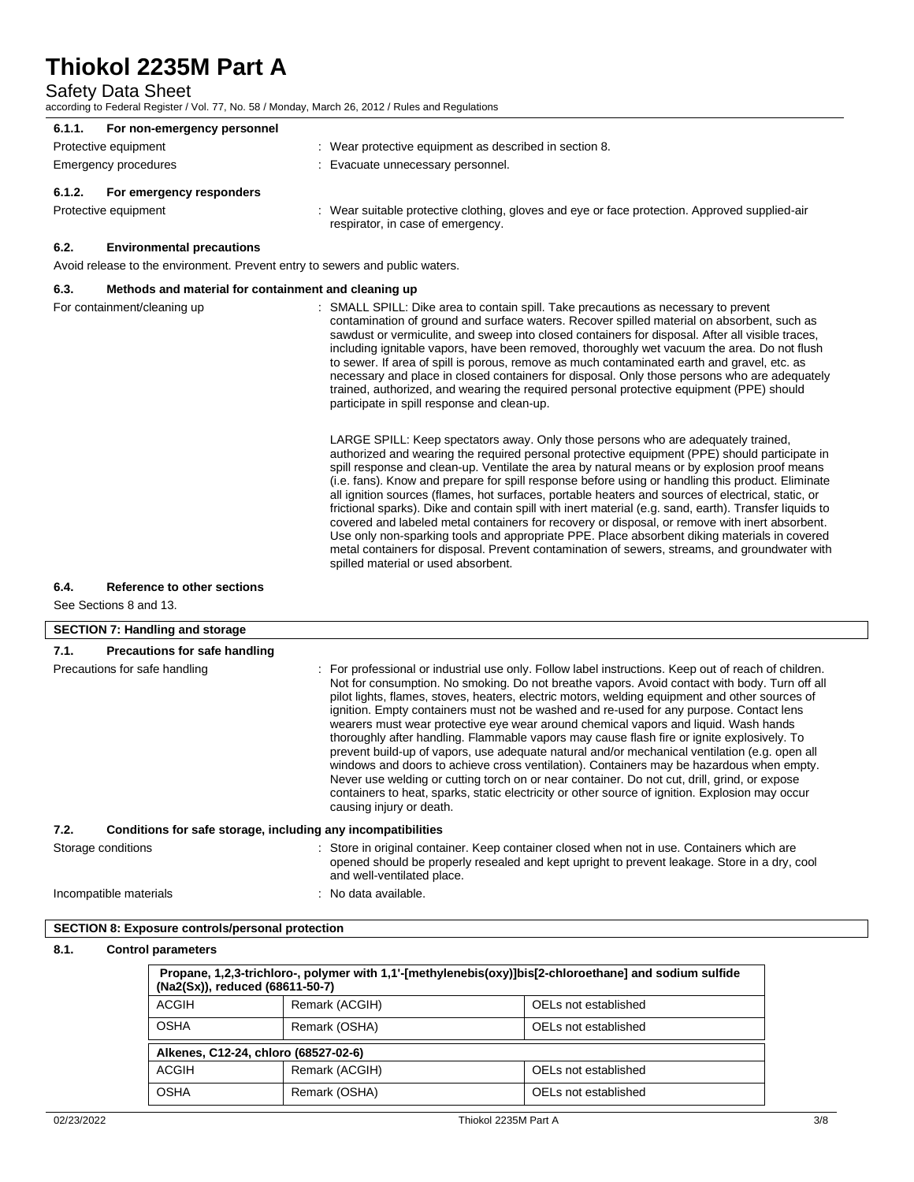## Safety Data Sheet

according to Federal Register / Vol. 77, No. 58 / Monday, March 26, 2012 / Rules and Regulations

| 6.1.1.                                   | For non-emergency personnel                                  |                                                                                                                                                                                                                                                                                                                                                                                                                                                                                                                                                                                                                                                                                                                                                                                                                                                                                                                                                                                                                                                                                                                                                                                                                                                                                                                                                                                                                                                                                                                                                                                                                                                                                     |
|------------------------------------------|--------------------------------------------------------------|-------------------------------------------------------------------------------------------------------------------------------------------------------------------------------------------------------------------------------------------------------------------------------------------------------------------------------------------------------------------------------------------------------------------------------------------------------------------------------------------------------------------------------------------------------------------------------------------------------------------------------------------------------------------------------------------------------------------------------------------------------------------------------------------------------------------------------------------------------------------------------------------------------------------------------------------------------------------------------------------------------------------------------------------------------------------------------------------------------------------------------------------------------------------------------------------------------------------------------------------------------------------------------------------------------------------------------------------------------------------------------------------------------------------------------------------------------------------------------------------------------------------------------------------------------------------------------------------------------------------------------------------------------------------------------------|
| Protective equipment                     |                                                              | : Wear protective equipment as described in section 8.                                                                                                                                                                                                                                                                                                                                                                                                                                                                                                                                                                                                                                                                                                                                                                                                                                                                                                                                                                                                                                                                                                                                                                                                                                                                                                                                                                                                                                                                                                                                                                                                                              |
| Emergency procedures                     |                                                              | : Evacuate unnecessary personnel.                                                                                                                                                                                                                                                                                                                                                                                                                                                                                                                                                                                                                                                                                                                                                                                                                                                                                                                                                                                                                                                                                                                                                                                                                                                                                                                                                                                                                                                                                                                                                                                                                                                   |
| 6.1.2.<br>For emergency responders       |                                                              |                                                                                                                                                                                                                                                                                                                                                                                                                                                                                                                                                                                                                                                                                                                                                                                                                                                                                                                                                                                                                                                                                                                                                                                                                                                                                                                                                                                                                                                                                                                                                                                                                                                                                     |
| Protective equipment                     |                                                              | : Wear suitable protective clothing, gloves and eye or face protection. Approved supplied-air<br>respirator, in case of emergency.                                                                                                                                                                                                                                                                                                                                                                                                                                                                                                                                                                                                                                                                                                                                                                                                                                                                                                                                                                                                                                                                                                                                                                                                                                                                                                                                                                                                                                                                                                                                                  |
| 6.2.<br><b>Environmental precautions</b> |                                                              |                                                                                                                                                                                                                                                                                                                                                                                                                                                                                                                                                                                                                                                                                                                                                                                                                                                                                                                                                                                                                                                                                                                                                                                                                                                                                                                                                                                                                                                                                                                                                                                                                                                                                     |
|                                          |                                                              | Avoid release to the environment. Prevent entry to sewers and public waters.                                                                                                                                                                                                                                                                                                                                                                                                                                                                                                                                                                                                                                                                                                                                                                                                                                                                                                                                                                                                                                                                                                                                                                                                                                                                                                                                                                                                                                                                                                                                                                                                        |
| 6.3.                                     | Methods and material for containment and cleaning up         |                                                                                                                                                                                                                                                                                                                                                                                                                                                                                                                                                                                                                                                                                                                                                                                                                                                                                                                                                                                                                                                                                                                                                                                                                                                                                                                                                                                                                                                                                                                                                                                                                                                                                     |
| For containment/cleaning up              |                                                              | : SMALL SPILL: Dike area to contain spill. Take precautions as necessary to prevent<br>contamination of ground and surface waters. Recover spilled material on absorbent, such as<br>sawdust or vermiculite, and sweep into closed containers for disposal. After all visible traces,<br>including ignitable vapors, have been removed, thoroughly wet vacuum the area. Do not flush<br>to sewer. If area of spill is porous, remove as much contaminated earth and gravel, etc. as<br>necessary and place in closed containers for disposal. Only those persons who are adequately<br>trained, authorized, and wearing the required personal protective equipment (PPE) should<br>participate in spill response and clean-up.<br>LARGE SPILL: Keep spectators away. Only those persons who are adequately trained,<br>authorized and wearing the required personal protective equipment (PPE) should participate in<br>spill response and clean-up. Ventilate the area by natural means or by explosion proof means<br>(i.e. fans). Know and prepare for spill response before using or handling this product. Eliminate<br>all ignition sources (flames, hot surfaces, portable heaters and sources of electrical, static, or<br>frictional sparks). Dike and contain spill with inert material (e.g. sand, earth). Transfer liquids to<br>covered and labeled metal containers for recovery or disposal, or remove with inert absorbent.<br>Use only non-sparking tools and appropriate PPE. Place absorbent diking materials in covered<br>metal containers for disposal. Prevent contamination of sewers, streams, and groundwater with<br>spilled material or used absorbent. |
| 6.4.<br>Reference to other sections      |                                                              |                                                                                                                                                                                                                                                                                                                                                                                                                                                                                                                                                                                                                                                                                                                                                                                                                                                                                                                                                                                                                                                                                                                                                                                                                                                                                                                                                                                                                                                                                                                                                                                                                                                                                     |
| See Sections 8 and 13.                   |                                                              |                                                                                                                                                                                                                                                                                                                                                                                                                                                                                                                                                                                                                                                                                                                                                                                                                                                                                                                                                                                                                                                                                                                                                                                                                                                                                                                                                                                                                                                                                                                                                                                                                                                                                     |
|                                          |                                                              |                                                                                                                                                                                                                                                                                                                                                                                                                                                                                                                                                                                                                                                                                                                                                                                                                                                                                                                                                                                                                                                                                                                                                                                                                                                                                                                                                                                                                                                                                                                                                                                                                                                                                     |
| <b>SECTION 7: Handling and storage</b>   |                                                              |                                                                                                                                                                                                                                                                                                                                                                                                                                                                                                                                                                                                                                                                                                                                                                                                                                                                                                                                                                                                                                                                                                                                                                                                                                                                                                                                                                                                                                                                                                                                                                                                                                                                                     |
| 7.1.                                     | <b>Precautions for safe handling</b>                         |                                                                                                                                                                                                                                                                                                                                                                                                                                                                                                                                                                                                                                                                                                                                                                                                                                                                                                                                                                                                                                                                                                                                                                                                                                                                                                                                                                                                                                                                                                                                                                                                                                                                                     |
| Precautions for safe handling            |                                                              | : For professional or industrial use only. Follow label instructions. Keep out of reach of children.<br>Not for consumption. No smoking. Do not breathe vapors. Avoid contact with body. Turn off all<br>pilot lights, flames, stoves, heaters, electric motors, welding equipment and other sources of<br>ignition. Empty containers must not be washed and re-used for any purpose. Contact lens<br>wearers must wear protective eye wear around chemical vapors and liquid. Wash hands<br>thoroughly after handling. Flammable vapors may cause flash fire or ignite explosively. To<br>prevent build-up of vapors, use adequate natural and/or mechanical ventilation (e.g. open all<br>windows and doors to achieve cross ventilation). Containers may be hazardous when empty.<br>Never use welding or cutting torch on or near container. Do not cut, drill, grind, or expose<br>containers to heat, sparks, static electricity or other source of ignition. Explosion may occur<br>causing injury or death.                                                                                                                                                                                                                                                                                                                                                                                                                                                                                                                                                                                                                                                                 |
| 7.2.                                     | Conditions for safe storage, including any incompatibilities |                                                                                                                                                                                                                                                                                                                                                                                                                                                                                                                                                                                                                                                                                                                                                                                                                                                                                                                                                                                                                                                                                                                                                                                                                                                                                                                                                                                                                                                                                                                                                                                                                                                                                     |
| Storage conditions                       |                                                              | : Store in original container. Keep container closed when not in use. Containers which are<br>opened should be properly resealed and kept upright to prevent leakage. Store in a dry, cool<br>and well-ventilated place.                                                                                                                                                                                                                                                                                                                                                                                                                                                                                                                                                                                                                                                                                                                                                                                                                                                                                                                                                                                                                                                                                                                                                                                                                                                                                                                                                                                                                                                            |
| Incompatible materials                   |                                                              | : No data available.                                                                                                                                                                                                                                                                                                                                                                                                                                                                                                                                                                                                                                                                                                                                                                                                                                                                                                                                                                                                                                                                                                                                                                                                                                                                                                                                                                                                                                                                                                                                                                                                                                                                |

| SECTION 8: Exposure controls/personal protection |
|--------------------------------------------------|
|--------------------------------------------------|

## **8.1. Control parameters**

| Propane, 1,2,3-trichloro-, polymer with 1,1'-[methylenebis(oxy)]bis[2-chloroethane] and sodium sulfide<br>(Na2(Sx)), reduced (68611-50-7) |                                       |                      |  |  |
|-------------------------------------------------------------------------------------------------------------------------------------------|---------------------------------------|----------------------|--|--|
| ACGIH                                                                                                                                     | Remark (ACGIH)                        | OELs not established |  |  |
| <b>OSHA</b>                                                                                                                               | OELs not established<br>Remark (OSHA) |                      |  |  |
| Alkenes, C12-24, chloro (68527-02-6)                                                                                                      |                                       |                      |  |  |
| ACGIH                                                                                                                                     | Remark (ACGIH)                        | OELs not established |  |  |
| <b>OSHA</b>                                                                                                                               | Remark (OSHA)                         | OELs not established |  |  |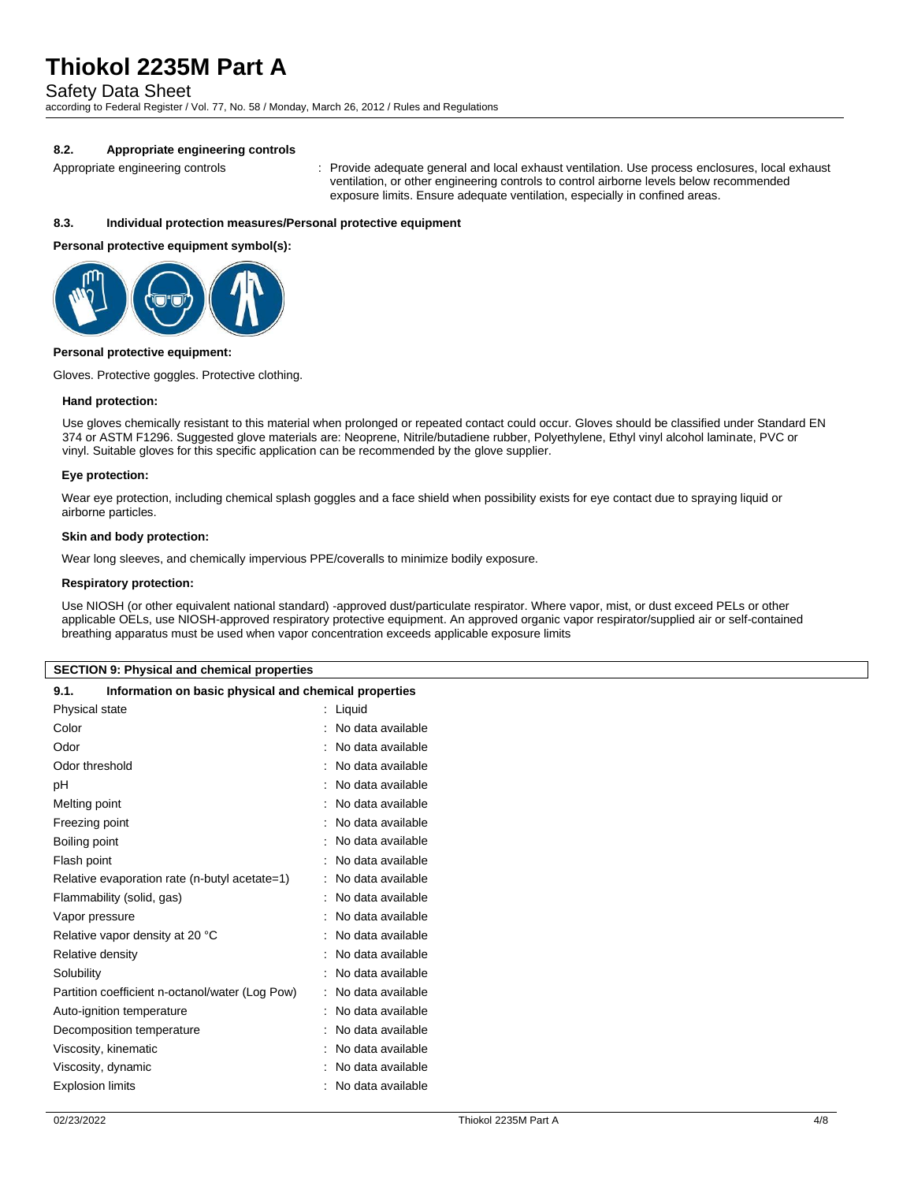Safety Data Sheet

according to Federal Register / Vol. 77, No. 58 / Monday, March 26, 2012 / Rules and Regulations

## **8.2. Appropriate engineering controls**

Appropriate engineering controls : Provide adequate general and local exhaust ventilation. Use process enclosures, local exhaust ventilation, or other engineering controls to control airborne levels below recommended exposure limits. Ensure adequate ventilation, especially in confined areas.

### **8.3. Individual protection measures/Personal protective equipment**

#### **Personal protective equipment symbol(s):**



#### **Personal protective equipment:**

Gloves. Protective goggles. Protective clothing.

#### **Hand protection:**

Use gloves chemically resistant to this material when prolonged or repeated contact could occur. Gloves should be classified under Standard EN 374 or ASTM F1296. Suggested glove materials are: Neoprene, Nitrile/butadiene rubber, Polyethylene, Ethyl vinyl alcohol laminate, PVC or vinyl. Suitable gloves for this specific application can be recommended by the glove supplier.

#### **Eye protection:**

Wear eye protection, including chemical splash goggles and a face shield when possibility exists for eye contact due to spraying liquid or airborne particles.

#### **Skin and body protection:**

Wear long sleeves, and chemically impervious PPE/coveralls to minimize bodily exposure.

#### **Respiratory protection:**

Use NIOSH (or other equivalent national standard) -approved dust/particulate respirator. Where vapor, mist, or dust exceed PELs or other applicable OELs, use NIOSH-approved respiratory protective equipment. An approved organic vapor respirator/supplied air or self-contained breathing apparatus must be used when vapor concentration exceeds applicable exposure limits

#### **SECTION 9: Physical and chemical properties**

| 9.1. |  |  | Information on basic physical and chemical properties |  |
|------|--|--|-------------------------------------------------------|--|
|------|--|--|-------------------------------------------------------|--|

| Physical state                                  | Liquid            |
|-------------------------------------------------|-------------------|
| Color                                           | No data available |
| Odor                                            | No data available |
| Odor threshold                                  | No data available |
| рH                                              | No data available |
| Melting point                                   | No data available |
| Freezing point                                  | No data available |
| Boiling point                                   | No data available |
| Flash point                                     | No data available |
| Relative evaporation rate (n-butyl acetate=1)   | No data available |
| Flammability (solid, gas)                       | No data available |
| Vapor pressure                                  | No data available |
| Relative vapor density at 20 °C                 | No data available |
| Relative density                                | No data available |
| Solubility                                      | No data available |
| Partition coefficient n-octanol/water (Log Pow) | No data available |
| Auto-ignition temperature                       | No data available |
| Decomposition temperature                       | No data available |
| Viscosity, kinematic                            | No data available |
| Viscosity, dynamic                              | No data available |
| <b>Explosion limits</b>                         | No data available |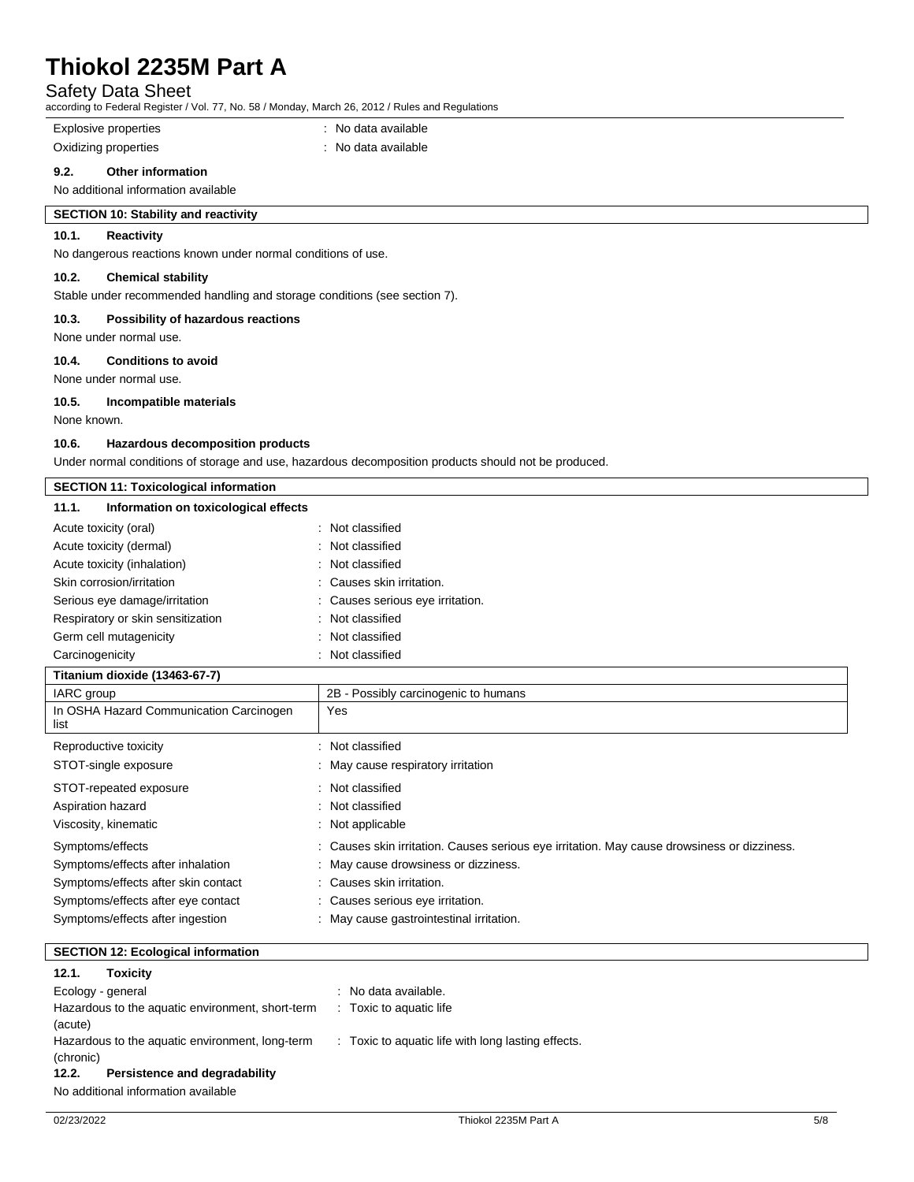## Safety Data Sheet

according to Federal Register / Vol. 77, No. 58 / Monday, March 26, 2012 / Rules and Regulations

Explosive properties **in the set of the COV** and the September 1 and the Explosive properties

Oxidizing properties **in the contract of the Contract August** Oxidizing properties

### **9.2. Other information**

No additional information available

## **SECTION 10: Stability and reactivity**

## **10.1. Reactivity**

No dangerous reactions known under normal conditions of use.

### **10.2. Chemical stability**

Stable under recommended handling and storage conditions (see section 7).

#### **10.3. Possibility of hazardous reactions**

None under normal use.

### **10.4. Conditions to avoid**

None under normal use.

#### **10.5. Incompatible materials**

None known.

#### **10.6. Hazardous decomposition products**

Under normal conditions of storage and use, hazardous decomposition products should not be produced.

| <b>SECTION 11: Toxicological information</b>    |                                                                                             |  |
|-------------------------------------------------|---------------------------------------------------------------------------------------------|--|
| Information on toxicological effects<br>11.1.   |                                                                                             |  |
| Acute toxicity (oral)                           | : Not classified                                                                            |  |
| Acute toxicity (dermal)                         | Not classified                                                                              |  |
| Acute toxicity (inhalation)                     | : Not classified                                                                            |  |
| Skin corrosion/irritation                       | Causes skin irritation.                                                                     |  |
| Serious eye damage/irritation                   | : Causes serious eye irritation.                                                            |  |
| Respiratory or skin sensitization               | : Not classified                                                                            |  |
| Germ cell mutagenicity                          | : Not classified                                                                            |  |
| Carcinogenicity                                 | : Not classified                                                                            |  |
| Titanium dioxide (13463-67-7)                   |                                                                                             |  |
| IARC group                                      | 2B - Possibly carcinogenic to humans                                                        |  |
| In OSHA Hazard Communication Carcinogen<br>list | Yes                                                                                         |  |
| Reproductive toxicity                           | : Not classified                                                                            |  |
| STOT-single exposure                            | : May cause respiratory irritation                                                          |  |
| STOT-repeated exposure                          | : Not classified                                                                            |  |
| Aspiration hazard                               | : Not classified                                                                            |  |
| Viscosity, kinematic                            | : Not applicable                                                                            |  |
| Symptoms/effects                                | : Causes skin irritation. Causes serious eye irritation. May cause drowsiness or dizziness. |  |
| Symptoms/effects after inhalation               | May cause drowsiness or dizziness.                                                          |  |
| Symptoms/effects after skin contact             | : Causes skin irritation.                                                                   |  |
| Symptoms/effects after eye contact              | : Causes serious eye irritation.                                                            |  |
| Symptoms/effects after ingestion                | : May cause gastrointestinal irritation.                                                    |  |

## **SECTION 12: Ecological information**

## **12.1. Toxicity**

Ecology - general intervals and the cology - general intervals and the cology -  $\alpha$  . No data available. Hazardous to the aquatic environment, short-term (acute) : Toxic to aquatic life Hazardous to the aquatic environment, long-term (chronic) : Toxic to aquatic life with long lasting effects. **12.2. Persistence and degradability**

No additional information available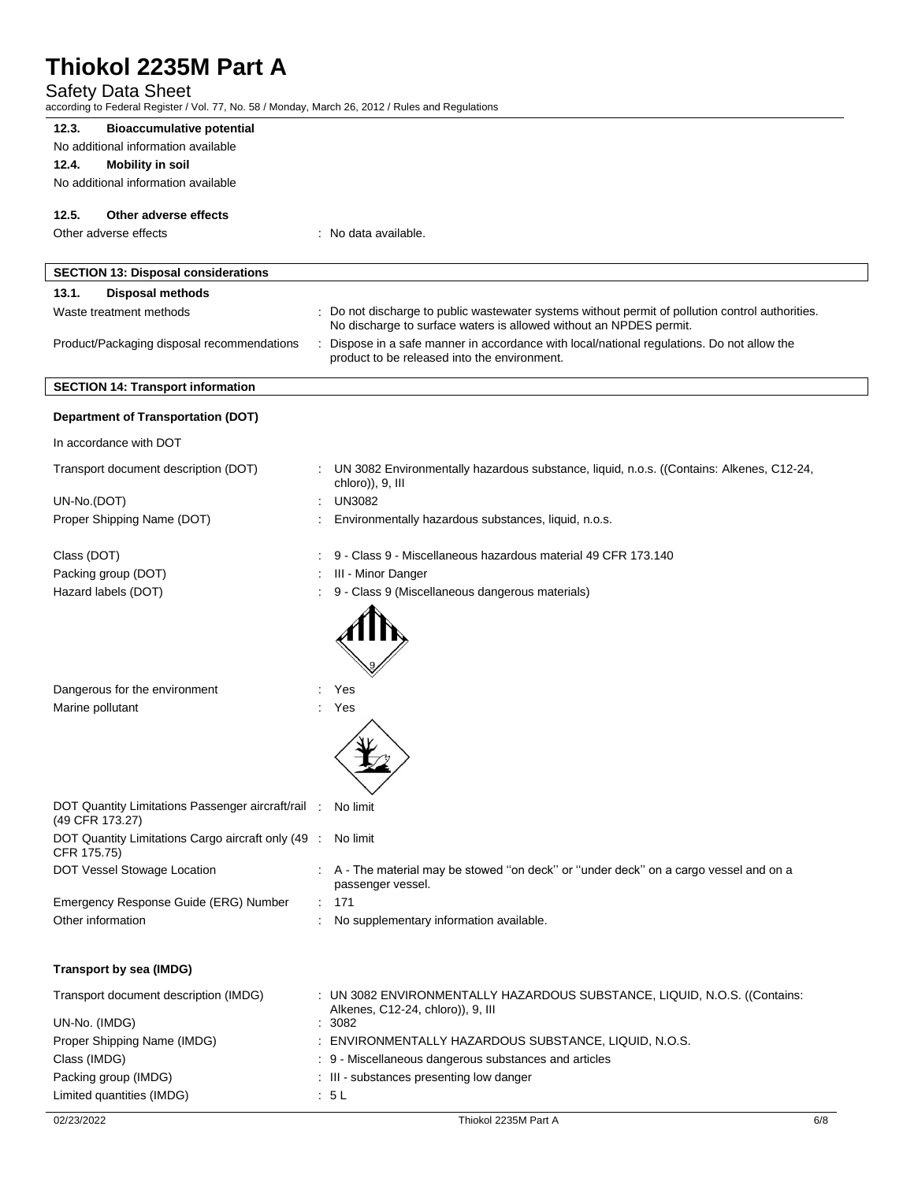## Safety Data Sheet

| according to Federal Register / Vol. 77, No. 58 / Monday, March 26, 2012 / Rules and Regulations<br>12.3.<br><b>Bioaccumulative potential</b> |                                                                                                                                                                        |
|-----------------------------------------------------------------------------------------------------------------------------------------------|------------------------------------------------------------------------------------------------------------------------------------------------------------------------|
| No additional information available                                                                                                           |                                                                                                                                                                        |
| 12.4.<br><b>Mobility in soil</b>                                                                                                              |                                                                                                                                                                        |
| No additional information available                                                                                                           |                                                                                                                                                                        |
| 12.5.<br>Other adverse effects                                                                                                                |                                                                                                                                                                        |
| Other adverse effects                                                                                                                         | : No data available.                                                                                                                                                   |
|                                                                                                                                               |                                                                                                                                                                        |
| <b>SECTION 13: Disposal considerations</b>                                                                                                    |                                                                                                                                                                        |
| 13.1.<br><b>Disposal methods</b>                                                                                                              |                                                                                                                                                                        |
| Waste treatment methods                                                                                                                       | : Do not discharge to public wastewater systems without permit of pollution control authorities.<br>No discharge to surface waters is allowed without an NPDES permit. |
| Product/Packaging disposal recommendations                                                                                                    | Dispose in a safe manner in accordance with local/national regulations. Do not allow the<br>product to be released into the environment.                               |
| <b>SECTION 14: Transport information</b>                                                                                                      |                                                                                                                                                                        |
| <b>Department of Transportation (DOT)</b>                                                                                                     |                                                                                                                                                                        |
| In accordance with DOT                                                                                                                        |                                                                                                                                                                        |
| Transport document description (DOT)                                                                                                          | UN 3082 Environmentally hazardous substance, liquid, n.o.s. ((Contains: Alkenes, C12-24,<br>chloro)), 9, III                                                           |
| UN-No.(DOT)                                                                                                                                   | <b>UN3082</b>                                                                                                                                                          |
| Proper Shipping Name (DOT)                                                                                                                    | Environmentally hazardous substances, liquid, n.o.s.                                                                                                                   |
| Class (DOT)                                                                                                                                   | 9 - Class 9 - Miscellaneous hazardous material 49 CFR 173.140                                                                                                          |
| Packing group (DOT)                                                                                                                           | III - Minor Danger                                                                                                                                                     |
| Hazard labels (DOT)                                                                                                                           | 9 - Class 9 (Miscellaneous dangerous materials)                                                                                                                        |
| Dangerous for the environment                                                                                                                 | Yes                                                                                                                                                                    |
| Marine pollutant                                                                                                                              | Yes                                                                                                                                                                    |
|                                                                                                                                               |                                                                                                                                                                        |
| DOT Quantity Limitations Passenger aircraft/rail :<br>(49 CFR 173.27)                                                                         | No limit                                                                                                                                                               |
| DOT Quantity Limitations Cargo aircraft only (49 :<br>CFR 175.75)                                                                             | No limit                                                                                                                                                               |
| DOT Vessel Stowage Location                                                                                                                   | : A - The material may be stowed "on deck" or "under deck" on a cargo vessel and on a<br>passenger vessel.                                                             |
| Emergency Response Guide (ERG) Number                                                                                                         | : 171                                                                                                                                                                  |
| Other information                                                                                                                             | No supplementary information available.                                                                                                                                |
| <b>Transport by sea (IMDG)</b>                                                                                                                |                                                                                                                                                                        |
| Transport document description (IMDG)                                                                                                         | : UN 3082 ENVIRONMENTALLY HAZARDOUS SUBSTANCE, LIQUID, N.O.S. ((Contains:<br>Alkenes, C12-24, chloro)), 9, III                                                         |
| UN-No. (IMDG)                                                                                                                                 | : 3082                                                                                                                                                                 |
| Proper Shipping Name (IMDG)                                                                                                                   | : ENVIRONMENTALLY HAZARDOUS SUBSTANCE, LIQUID, N.O.S.                                                                                                                  |
| Class (IMDG)                                                                                                                                  | : 9 - Miscellaneous dangerous substances and articles                                                                                                                  |
| Packing group (IMDG)<br>Limited quantities (IMDG)                                                                                             | : III - substances presenting low danger<br>.5L                                                                                                                        |
|                                                                                                                                               |                                                                                                                                                                        |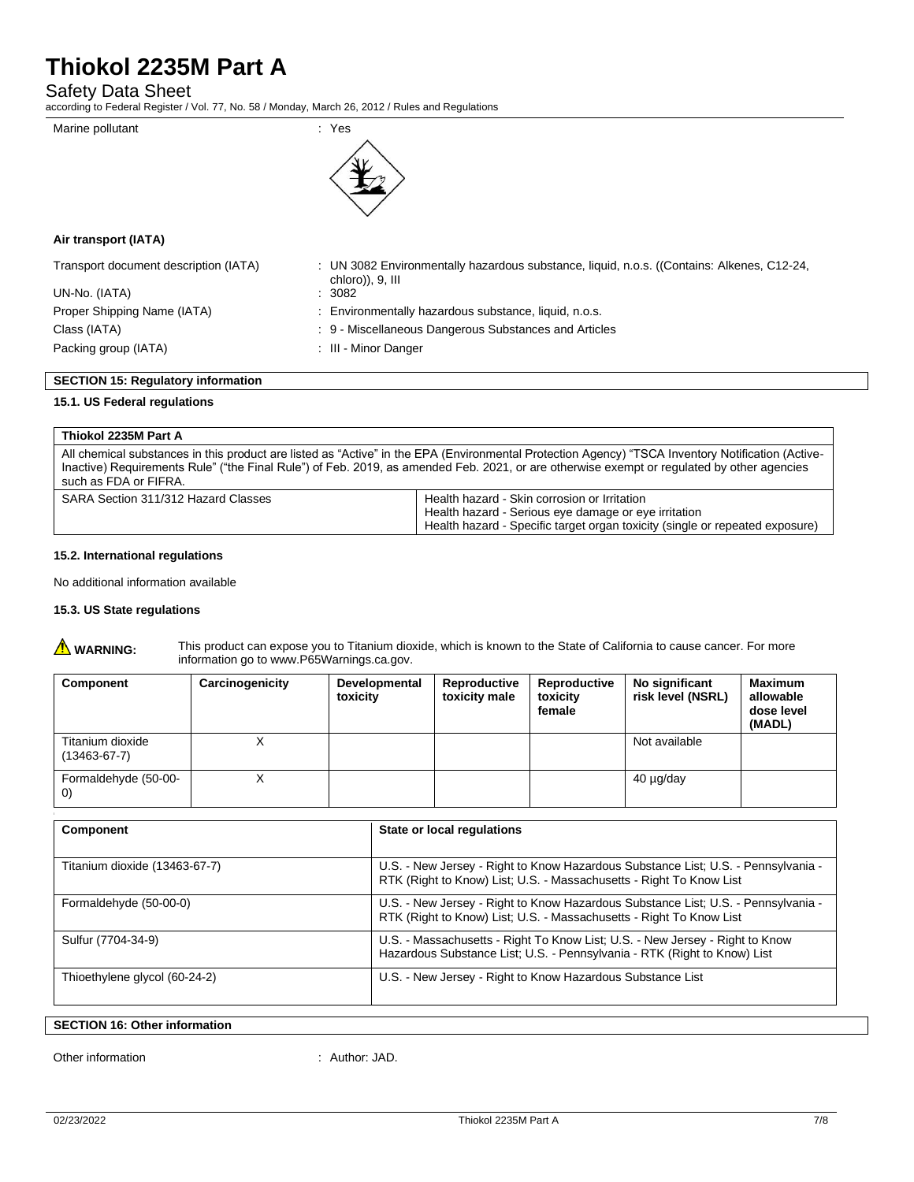Safety Data Sheet

according to Federal Register / Vol. 77, No. 58 / Monday, March 26, 2012 / Rules and Regulations



## **Air transport (IATA)**

| Transport document description (IATA)     | : UN 3082 Environmentally hazardous substance, liquid, n.o.s. ((Contains: Alkenes, C12-24,<br>chloro)), 9, III |
|-------------------------------------------|----------------------------------------------------------------------------------------------------------------|
| UN-No. (IATA)                             | : 3082                                                                                                         |
| Proper Shipping Name (IATA)               | : Environmentally hazardous substance, liquid, n.o.s.                                                          |
| Class (IATA)                              | : 9 - Miscellaneous Dangerous Substances and Articles                                                          |
| Packing group (IATA)                      | : III - Minor Danger                                                                                           |
| <b>SECTION 15: Regulatory information</b> |                                                                                                                |

## **15.1. US Federal regulations**

| Thiokol 2235M Part A                |                                                                                                                                                                                                                                                                                                 |
|-------------------------------------|-------------------------------------------------------------------------------------------------------------------------------------------------------------------------------------------------------------------------------------------------------------------------------------------------|
| such as FDA or FIFRA.               | All chemical substances in this product are listed as "Active" in the EPA (Environmental Protection Agency) "TSCA Inventory Notification (Active-<br>Inactive) Requirements Rule" ("the Final Rule") of Feb. 2019, as amended Feb. 2021, or are otherwise exempt or requlated by other agencies |
| SARA Section 311/312 Hazard Classes | Health hazard - Skin corrosion or Irritation<br>Health hazard - Serious eye damage or eye irritation<br>Health hazard - Specific target organ toxicity (single or repeated exposure)                                                                                                            |

### **15.2. International regulations**

No additional information available

#### **15.3. US State regulations**

 $\triangle$ 

| <b>WARNING:</b> | This product can expose you to Titanium dioxide, which is known to the State of California to cause cancer. For more |
|-----------------|----------------------------------------------------------------------------------------------------------------------|
|                 | information go to www.P65Warnings.ca.gov.                                                                            |

| Component                                 | Carcinogenicity | <b>Developmental</b><br>toxicity | Reproductive<br>toxicity male | Reproductive<br>toxicity<br>female | No significant<br>risk level (NSRL) | <b>Maximum</b><br>allowable<br>dose level<br>(MADL) |
|-------------------------------------------|-----------------|----------------------------------|-------------------------------|------------------------------------|-------------------------------------|-----------------------------------------------------|
| Titanium dioxide<br>$(13463 - 67 - 7)$    |                 |                                  |                               |                                    | Not available                       |                                                     |
| Formaldehyde (50-00-<br>$\left( 0\right)$ | $\lambda$       |                                  |                               |                                    | 40 µg/day                           |                                                     |

| Component                     | State or local regulations                                                                                                                               |
|-------------------------------|----------------------------------------------------------------------------------------------------------------------------------------------------------|
| Titanium dioxide (13463-67-7) | U.S. - New Jersey - Right to Know Hazardous Substance List; U.S. - Pennsylvania -<br>RTK (Right to Know) List; U.S. - Massachusetts - Right To Know List |
| Formaldehyde (50-00-0)        | U.S. - New Jersey - Right to Know Hazardous Substance List; U.S. - Pennsylvania -<br>RTK (Right to Know) List; U.S. - Massachusetts - Right To Know List |
| Sulfur (7704-34-9)            | U.S. - Massachusetts - Right To Know List; U.S. - New Jersey - Right to Know<br>Hazardous Substance List; U.S. - Pennsylvania - RTK (Right to Know) List |
| Thioethylene glycol (60-24-2) | U.S. - New Jersey - Right to Know Hazardous Substance List                                                                                               |

## **SECTION 16: Other information**

Other information : Author: JAD.